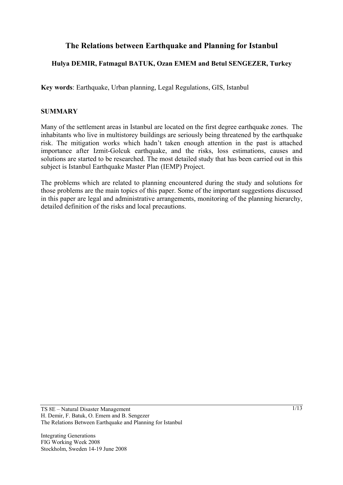# **The Relations between Earthquake and Planning for Istanbul**

## **Hulya DEMIR, Fatmagul BATUK, Ozan EMEM and Betul SENGEZER, Turkey**

**Key words**: Earthquake, Urban planning, Legal Regulations, GIS, Istanbul

#### **SUMMARY**

Many of the settlement areas in Istanbul are located on the first degree earthquake zones. The inhabitants who live in multistorey buildings are seriously being threatened by the earthquake risk. The mitigation works which hadn't taken enough attention in the past is attached importance after Izmit-Golcuk earthquake, and the risks, loss estimations, causes and solutions are started to be researched. The most detailed study that has been carried out in this subject is Istanbul Earthquake Master Plan (IEMP) Project.

The problems which are related to planning encountered during the study and solutions for those problems are the main topics of this paper. Some of the important suggestions discussed in this paper are legal and administrative arrangements, monitoring of the planning hierarchy, detailed definition of the risks and local precautions.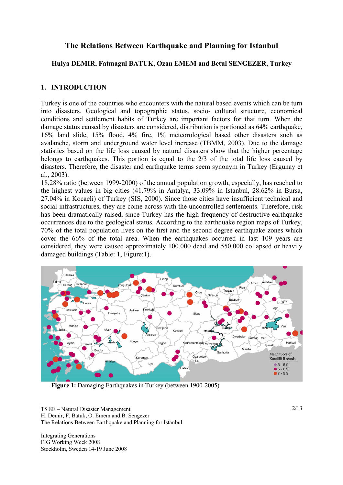# **The Relations Between Earthquake and Planning for Istanbul**

## **Hulya DEMIR, Fatmagul BATUK, Ozan EMEM and Betul SENGEZER, Turkey**

## **1. INTRODUCTION**

Turkey is one of the countries who encounters with the natural based events which can be turn into disasters. Geological and topographic status, socio- cultural structure, economical conditions and settlement habits of Turkey are important factors for that turn. When the damage status caused by disasters are considered, distribution is portioned as 64% earthquake, 16% land slide, 15% flood, 4% fire, 1% meteorological based other disasters such as avalanche, storm and underground water level increase (TBMM, 2003). Due to the damage statistics based on the life loss caused by natural disasters show that the higher percentage belongs to earthquakes. This portion is equal to the 2/3 of the total life loss caused by disasters. Therefore, the disaster and earthquake terms seem synonym in Turkey (Ergunay et al., 2003).

18.28% ratio (between 1999-2000) of the annual population growth, especially, has reached to the highest values in big cities (41.79% in Antalya, 33.09% in Istanbul, 28.62% in Bursa, 27.04% in Kocaeli) of Turkey (SIS, 2000). Since those cities have insufficient technical and social infrastructures, they are come across with the uncontrolled settlements. Therefore, risk has been dramatically raised, since Turkey has the high frequency of destructive earthquake occurrences due to the geological status. According to the earthquake region maps of Turkey, 70% of the total population lives on the first and the second degree earthquake zones which cover the 66% of the total area. When the earthquakes occurred in last 109 years are considered, they were caused approximately 100.000 dead and 550.000 collapsed or heavily damaged buildings (Table: 1, Figure:1).



**Figure 1:** Damaging Earthquakes in Turkey (between 1900-2005)

TS 8E – Natural Disaster Management H. Demir, F. Batuk, O. Emem and B. Sengezer The Relations Between Earthquake and Planning for Istanbul

Integrating Generations FIG Working Week 2008 Stockholm, Sweden 14-19 June 2008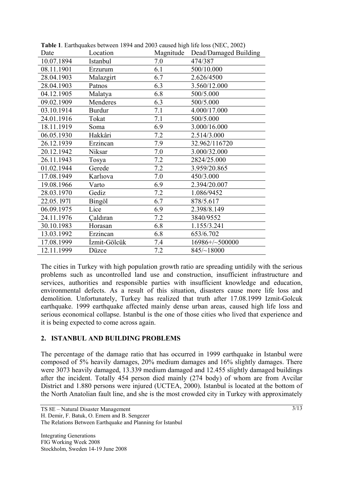| Date       | Location      |     | Magnitude Dead/Damaged Building |
|------------|---------------|-----|---------------------------------|
| 10.07.1894 | Istanbul      | 7.0 | 474/387                         |
| 08.11.1901 | Erzurum       | 6.1 | 500/10.000                      |
| 28.04.1903 | Malazgirt     | 6.7 | 2.626/4500                      |
| 28.04.1903 | Patnos        | 6.3 | 3.560/12.000                    |
| 04.12.1905 | Malatya       | 6.8 | 500/5.000                       |
| 09.02.1909 | Menderes      | 6.3 | 500/5.000                       |
| 03.10.1914 | <b>Burdur</b> | 7.1 | 4.000/17.000                    |
| 24.01.1916 | Tokat         | 7.1 | 500/5.000                       |
| 18.11.1919 | Soma          | 6.9 | 3.000/16.000                    |
| 06.05.1930 | Hakkâri       | 7.2 | 2.514/3.000                     |
| 26.12.1939 | Erzincan      | 7.9 | 32.962/116720                   |
| 20.12.1942 | Niksar        | 7.0 | 3.000/32.000                    |
| 26.11.1943 | Tosya         | 7.2 | 2824/25.000                     |
| 01.02.1944 | Gerede        | 7.2 | 3.959/20.865                    |
| 17.08.1949 | Karliova      | 7.0 | 450/3.000                       |
| 19.08.1966 | Varto         | 6.9 | 2.394/20.007                    |
| 28.03.1970 | Gediz         | 7.2 | 1.086/9452                      |
| 22.05.1971 | Bingöl        | 6.7 | 878/5.617                       |
| 06.09.1975 | Lice          | 6.9 | 2.398/8.149                     |
| 24.11.1976 | Caldıran      | 7.2 | 3840/9552                       |
| 30.10.1983 | Horasan       | 6.8 | 1.155/3.241                     |
| 13.03.1992 | Erzincan      | 6.8 | 653/6.702                       |
| 17.08.1999 | İzmit-Gölcük  | 7.4 | 16986+/~500000                  |
| 12.11.1999 | Düzce         | 7.2 | 845/~18000                      |

**Table 1**. Earthquakes between 1894 and 2003 caused high life loss (NEC, 2002)

The cities in Turkey with high population growth ratio are spreading untidily with the serious problems such as uncontrolled land use and construction, insufficient infrastructure and services, authorities and responsible parties with insufficient knowledge and education, environmental defects. As a result of this situation, disasters cause more life loss and demolition. Unfortunately, Turkey has realized that truth after 17.08.1999 Izmit-Golcuk earthquake. 1999 earthquake affected mainly dense urban areas, caused high life loss and serious economical collapse. Istanbul is the one of those cities who lived that experience and it is being expected to come across again.

# **2. ISTANBUL AND BUILDING PROBLEMS**

The percentage of the damage ratio that has occurred in 1999 earthquake in Istanbul were composed of 5% heavily damages, 20% medium damages and 16% slightly damages. There were 3073 heavily damaged, 13.339 medium damaged and 12.455 slightly damaged buildings after the incident. Totally 454 person died mainly (274 body) of whom are from Avcilar District and 1.880 persons were injured (UCTEA, 2000). Istanbul is located at the bottom of the North Anatolian fault line, and she is the most crowded city in Turkey with approximately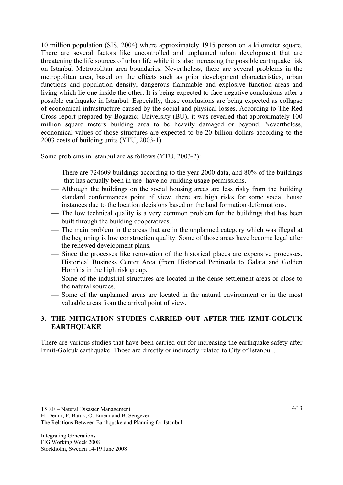10 million population (SIS, 2004) where approximately 1915 person on a kilometer square. There are several factors like uncontrolled and unplanned urban development that are threatening the life sources of urban life while it is also increasing the possible earthquake risk on Istanbul Metropolitan area boundaries. Nevertheless, there are several problems in the metropolitan area, based on the effects such as prior development characteristics, urban functions and population density, dangerous flammable and explosive function areas and living which lie one inside the other. It is being expected to face negative conclusions after a possible earthquake in Istanbul. Especially, those conclusions are being expected as collapse of economical infrastructure caused by the social and physical losses. According to The Red Cross report prepared by Bogazici University (BU), it was revealed that approximately 100 million square meters building area to be heavily damaged or beyond. Nevertheless, economical values of those structures are expected to be 20 billion dollars according to the 2003 costs of building units (YTU, 2003-1).

Some problems in Istanbul are as follows (YTU, 2003-2):

- There are 724609 buildings according to the year 2000 data, and 80% of the buildings -that has actually been in use- have no building usage permissions.
- ⎯ Although the buildings on the social housing areas are less risky from the building standard conformances point of view, there are high risks for some social house instances due to the location decisions based on the land formation deformations.
- The low technical quality is a very common problem for the buildings that has been built through the building cooperatives.
- The main problem in the areas that are in the unplanned category which was illegal at the beginning is low construction quality. Some of those areas have become legal after the renewed development plans.
- Since the processes like renovation of the historical places are expensive processes, Historical Business Center Area (from Historical Peninsula to Galata and Golden Horn) is in the high risk group.
- ⎯ Some of the industrial structures are located in the dense settlement areas or close to the natural sources.
- ⎯ Some of the unplanned areas are located in the natural environment or in the most valuable areas from the arrival point of view.

## **3. THE MITIGATION STUDIES CARRIED OUT AFTER THE IZMIT-GOLCUK EARTHQUAKE**

There are various studies that have been carried out for increasing the earthquake safety after Izmit-Golcuk earthquake. Those are directly or indirectly related to City of Istanbul .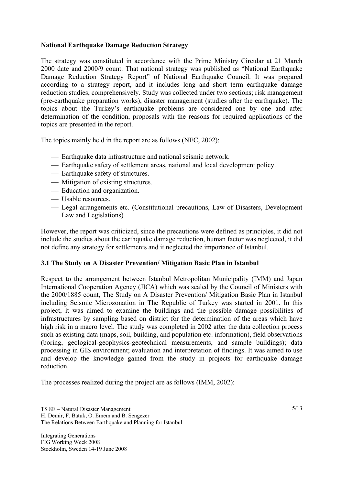## **National Earthquake Damage Reduction Strategy**

The strategy was constituted in accordance with the Prime Ministry Circular at 21 March 2000 date and 2000/9 count. That national strategy was published as "National Earthquake Damage Reduction Strategy Report" of National Earthquake Council. It was prepared according to a strategy report, and it includes long and short term earthquake damage reduction studies, comprehensively. Study was collected under two sections; risk management (pre-earthquake preparation works), disaster management (studies after the earthquake). The topics about the Turkey's earthquake problems are considered one by one and after determination of the condition, proposals with the reasons for required applications of the topics are presented in the report.

The topics mainly held in the report are as follows (NEC, 2002):

- ⎯ Earthquake data infrastructure and national seismic network.
- Earthquake safety of settlement areas, national and local development policy.
- Earthquake safety of structures.
- Mitigation of existing structures.
- Education and organization.
- Usable resources.
- ⎯ Legal arrangements etc. (Constitutional precautions, Law of Disasters, Development Law and Legislations)

However, the report was criticized, since the precautions were defined as principles, it did not include the studies about the earthquake damage reduction, human factor was neglected, it did not define any strategy for settlements and it neglected the importance of Istanbul.

#### **3.1 The Study on A Disaster Prevention/ Mitigation Basic Plan in Istanbul**

Respect to the arrangement between Istanbul Metropolitan Municipality (IMM) and Japan International Cooperation Agency (JICA) which was sealed by the Council of Ministers with the 2000/1885 count, The Study on A Disaster Prevention/ Mitigation Basic Plan in Istanbul including Seismic Microzonation in The Republic of Turkey was started in 2001. In this project, it was aimed to examine the buildings and the possible damage possibilities of infrastructures by sampling based on district for the determination of the areas which have high risk in a macro level. The study was completed in 2002 after the data collection process such as existing data (maps, soil, building, and population etc. information), field observations (boring, geological-geophysics-geotechnical measurements, and sample buildings); data processing in GIS environment; evaluation and interpretation of findings. It was aimed to use and develop the knowledge gained from the study in projects for earthquake damage reduction.

The processes realized during the project are as follows (IMM, 2002):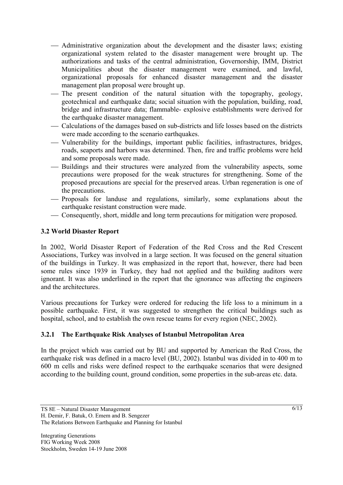- ⎯ Administrative organization about the development and the disaster laws; existing organizational system related to the disaster management were brought up. The authorizations and tasks of the central administration, Governorship, IMM, District Municipalities about the disaster management were examined, and lawful, organizational proposals for enhanced disaster management and the disaster management plan proposal were brought up.
- The present condition of the natural situation with the topography, geology, geotechnical and earthquake data; social situation with the population, building, road, bridge and infrastructure data; flammable- explosive establishments were derived for the earthquake disaster management.
- ⎯ Calculations of the damages based on sub-districts and life losses based on the districts were made according to the scenario earthquakes.
- ⎯ Vulnerability for the buildings, important public facilities, infrastructures, bridges, roads, seaports and harbors was determined. Then, fire and traffic problems were held and some proposals were made.
- Buildings and their structures were analyzed from the vulnerability aspects, some precautions were proposed for the weak structures for strengthening. Some of the proposed precautions are special for the preserved areas. Urban regeneration is one of the precautions.
- ⎯ Proposals for landuse and regulations, similarly, some explanations about the earthquake resistant construction were made.
- ⎯ Consequently, short, middle and long term precautions for mitigation were proposed.

## **3.2 World Disaster Report**

In 2002, World Disaster Report of Federation of the Red Cross and the Red Crescent Associations, Turkey was involved in a large section. It was focused on the general situation of the buildings in Turkey. It was emphasized in the report that, however, there had been some rules since 1939 in Turkey, they had not applied and the building auditors were ignorant. It was also underlined in the report that the ignorance was affecting the engineers and the architectures.

Various precautions for Turkey were ordered for reducing the life loss to a minimum in a possible earthquake. First, it was suggested to strengthen the critical buildings such as hospital, school, and to establish the own rescue teams for every region (NEC, 2002).

#### **3.2.1 The Earthquake Risk Analyses of Istanbul Metropolitan Area**

In the project which was carried out by BU and supported by American the Red Cross, the earthquake risk was defined in a macro level (BU, 2002). Istanbul was divided in to 400 m to 600 m cells and risks were defined respect to the earthquake scenarios that were designed according to the building count, ground condition, some properties in the sub-areas etc. data.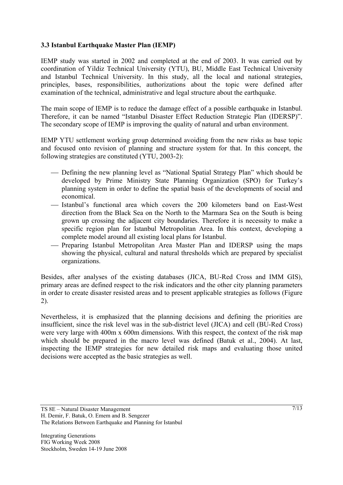# **3.3 Istanbul Earthquake Master Plan (IEMP)**

IEMP study was started in 2002 and completed at the end of 2003. It was carried out by coordination of Yildiz Technical University (YTU), BU, Middle East Technical University and Istanbul Technical University. In this study, all the local and national strategies, principles, bases, responsibilities, authorizations about the topic were defined after examination of the technical, administrative and legal structure about the earthquake.

The main scope of IEMP is to reduce the damage effect of a possible earthquake in Istanbul. Therefore, it can be named "Istanbul Disaster Effect Reduction Strategic Plan (IDERSP)". The secondary scope of IEMP is improving the quality of natural and urban environment.

IEMP YTU settlement working group determined avoiding from the new risks as base topic and focused onto revision of planning and structure system for that. In this concept, the following strategies are constituted (YTU, 2003-2):

- ⎯ Defining the new planning level as "National Spatial Strategy Plan" which should be developed by Prime Ministry State Planning Organization (SPO) for Turkey's planning system in order to define the spatial basis of the developments of social and economical.
- ⎯ Istanbul's functional area which covers the 200 kilometers band on East-West direction from the Black Sea on the North to the Marmara Sea on the South is being grown up crossing the adjacent city boundaries. Therefore it is necessity to make a specific region plan for Istanbul Metropolitan Area. In this context, developing a complete model around all existing local plans for Istanbul.
- Preparing Istanbul Metropolitan Area Master Plan and IDERSP using the maps showing the physical, cultural and natural thresholds which are prepared by specialist organizations.

Besides, after analyses of the existing databases (JICA, BU-Red Cross and IMM GIS), primary areas are defined respect to the risk indicators and the other city planning parameters in order to create disaster resisted areas and to present applicable strategies as follows (Figure 2).

Nevertheless, it is emphasized that the planning decisions and defining the priorities are insufficient, since the risk level was in the sub-district level (JICA) and cell (BU-Red Cross) were very large with 400m x 600m dimensions. With this respect, the context of the risk map which should be prepared in the macro level was defined (Batuk et al., 2004). At last, inspecting the IEMP strategies for new detailed risk maps and evaluating those united decisions were accepted as the basic strategies as well.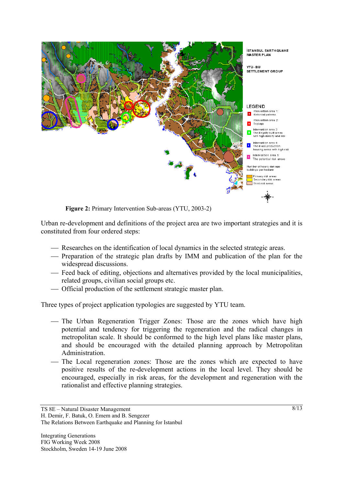

Urban re-development and definitions of the project area are two important strategies and it is constituted from four ordered steps:

- Researches on the identification of local dynamics in the selected strategic areas.
- Preparation of the strategic plan drafts by IMM and publication of the plan for the widespread discussions.
- ⎯ Feed back of editing, objections and alternatives provided by the local municipalities, related groups, civilian social groups etc.
- ⎯ Official production of the settlement strategic master plan.

Three types of project application typologies are suggested by YTU team.

- The Urban Regeneration Trigger Zones: Those are the zones which have high potential and tendency for triggering the regeneration and the radical changes in metropolitan scale. It should be conformed to the high level plans like master plans, and should be encouraged with the detailed planning approach by Metropolitan Administration.
- The Local regeneration zones: Those are the zones which are expected to have positive results of the re-development actions in the local level. They should be encouraged, especially in risk areas, for the development and regeneration with the rationalist and effective planning strategies.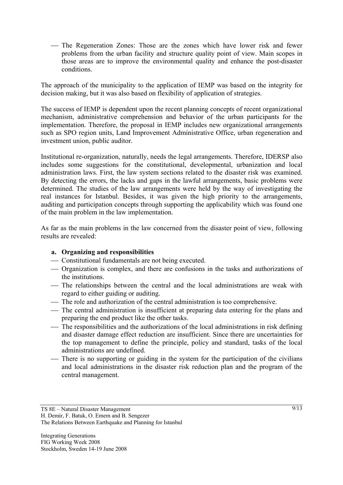— The Regeneration Zones: Those are the zones which have lower risk and fewer problems from the urban facility and structure quality point of view. Main scopes in those areas are to improve the environmental quality and enhance the post-disaster conditions.

The approach of the municipality to the application of IEMP was based on the integrity for decision making, but it was also based on flexibility of application of strategies.

The success of IEMP is dependent upon the recent planning concepts of recent organizational mechanism, administrative comprehension and behavior of the urban participants for the implementation. Therefore, the proposal in IEMP includes new organizational arrangements such as SPO region units, Land Improvement Administrative Office, urban regeneration and investment union, public auditor.

Institutional re-organization, naturally, needs the legal arrangements. Therefore, IDERSP also includes some suggestions for the constitutional, developmental, urbanization and local administration laws. First, the law system sections related to the disaster risk was examined. By detecting the errors, the lacks and gaps in the lawful arrangements, basic problems were determined. The studies of the law arrangements were held by the way of investigating the real instances for Istanbul. Besides, it was given the high priority to the arrangements, auditing and participation concepts through supporting the applicability which was found one of the main problem in the law implementation.

As far as the main problems in the law concerned from the disaster point of view, following results are revealed:

# **a. Organizing and responsibilities**

- ⎯ Constitutional fundamentals are not being executed.
- ⎯ Organization is complex, and there are confusions in the tasks and authorizations of the institutions.
- ⎯ The relationships between the central and the local administrations are weak with regard to either guiding or auditing.
- The role and authorization of the central administration is too comprehensive.
- The central administration is insufficient at preparing data entering for the plans and preparing the end product like the other tasks.
- The responsibilities and the authorizations of the local administrations in risk defining and disaster damage effect reduction are insufficient. Since there are uncertainties for the top management to define the principle, policy and standard, tasks of the local administrations are undefined.
- There is no supporting or guiding in the system for the participation of the civilians and local administrations in the disaster risk reduction plan and the program of the central management.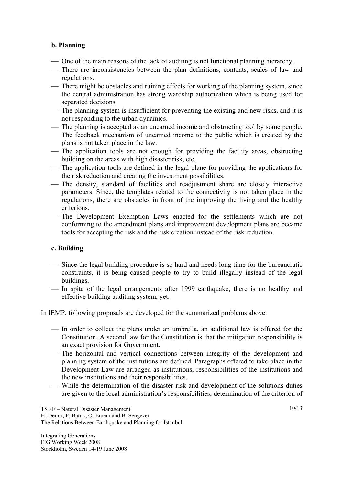## **b. Planning**

- One of the main reasons of the lack of auditing is not functional planning hierarchy.
- ⎯ There are inconsistencies between the plan definitions, contents, scales of law and regulations.
- There might be obstacles and ruining effects for working of the planning system, since the central administration has strong wardship authorization which is being used for separated decisions.
- The planning system is insufficient for preventing the existing and new risks, and it is not responding to the urban dynamics.
- ⎯ The planning is accepted as an unearned income and obstructing tool by some people. The feedback mechanism of unearned income to the public which is created by the plans is not taken place in the law.
- The application tools are not enough for providing the facility areas, obstructing building on the areas with high disaster risk, etc.
- The application tools are defined in the legal plane for providing the applications for the risk reduction and creating the investment possibilities.
- ⎯ The density, standard of facilities and readjustment share are closely interactive parameters. Since, the templates related to the connectivity is not taken place in the regulations, there are obstacles in front of the improving the living and the healthy criterions.
- ⎯ The Development Exemption Laws enacted for the settlements which are not conforming to the amendment plans and improvement development plans are became tools for accepting the risk and the risk creation instead of the risk reduction.

# **c. Building**

- ⎯ Since the legal building procedure is so hard and needs long time for the bureaucratic constraints, it is being caused people to try to build illegally instead of the legal buildings.
- In spite of the legal arrangements after 1999 earthquake, there is no healthy and effective building auditing system, yet.

In IEMP, following proposals are developed for the summarized problems above:

- In order to collect the plans under an umbrella, an additional law is offered for the Constitution. A second law for the Constitution is that the mitigation responsibility is an exact provision for Government.
- The horizontal and vertical connections between integrity of the development and planning system of the institutions are defined. Paragraphs offered to take place in the Development Law are arranged as institutions, responsibilities of the institutions and the new institutions and their responsibilities.
- ⎯ While the determination of the disaster risk and development of the solutions duties are given to the local administration's responsibilities; determination of the criterion of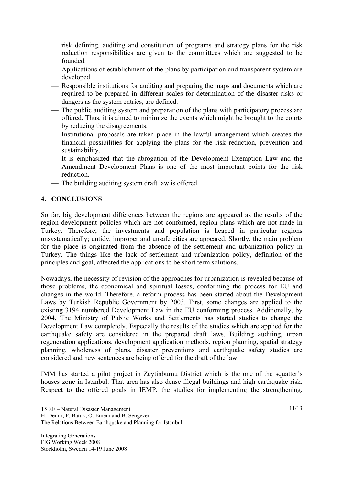risk defining, auditing and constitution of programs and strategy plans for the risk reduction responsibilities are given to the committees which are suggested to be founded.

- Applications of establishment of the plans by participation and transparent system are developed.
- Responsible institutions for auditing and preparing the maps and documents which are required to be prepared in different scales for determination of the disaster risks or dangers as the system entries, are defined.
- The public auditing system and preparation of the plans with participatory process are offered*.* Thus, it is aimed to minimize the events which might be brought to the courts by reducing the disagreements.
- ⎯ Institutional proposals are taken place in the lawful arrangement which creates the financial possibilities for applying the plans for the risk reduction, prevention and sustainability.
- ⎯ It is emphasized that the abrogation of the Development Exemption Law and the Amendment Development Plans is one of the most important points for the risk reduction.
- The building auditing system draft law is offered.

## **4. CONCLUSIONS**

So far, big development differences between the regions are appeared as the results of the region development policies which are not conformed, region plans which are not made in Turkey. Therefore, the investments and population is heaped in particular regions unsystematically; untidy, improper and unsafe cities are appeared. Shortly, the main problem for the place is originated from the absence of the settlement and urbanization policy in Turkey. The things like the lack of settlement and urbanization policy, definition of the principles and goal, affected the applications to be short term solutions.

Nowadays, the necessity of revision of the approaches for urbanization is revealed because of those problems, the economical and spiritual losses, conforming the process for EU and changes in the world. Therefore, a reform process has been started about the Development Laws by Turkish Republic Government by 2003. First, some changes are applied to the existing 3194 numbered Development Law in the EU conforming process. Additionally, by 2004, The Ministry of Public Works and Settlements has started studies to change the Development Law completely. Especially the results of the studies which are applied for the earthquake safety are considered in the prepared draft laws. Building auditing, urban regeneration applications, development application methods, region planning, spatial strategy planning, wholeness of plans, disaster preventions and earthquake safety studies are considered and new sentences are being offered for the draft of the law.

IMM has started a pilot project in Zeytinburnu District which is the one of the squatter's houses zone in Istanbul. That area has also dense illegal buildings and high earthquake risk. Respect to the offered goals in IEMP, the studies for implementing the strengthening,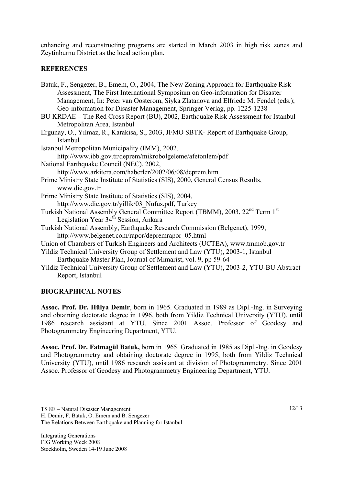enhancing and reconstructing programs are started in March 2003 in high risk zones and Zeytinburnu District as the local action plan.

# **REFERENCES**

- Batuk, F., Sengezer, B., Emem, O., 2004, The New Zoning Approach for Earthquake Risk Assessment, The First International Symposium on Geo-information for Disaster Management, In: Peter van Oosterom, Siyka Zlatanova and Elfriede M. Fendel (eds.); Geo-information for Disaster Management, Springer Verlag, pp. 1225-1238
- BU KRDAE The Red Cross Report (BU), 2002, Earthquake Risk Assessment for Istanbul Metropolitan Area, Istanbul
- Ergunay, O., Yılmaz, R., Karakisa, S., 2003, JFMO SBTK- Report of Earthquake Group, Istanbul

Istanbul Metropolitan Municipality (IMM), 2002, http://www.ibb.gov.tr/deprem/mikrobolgeleme/afetonlem/pdf National Earthquake Council (NEC), 2002, http://www.arkitera.com/haberler/2002/06/08/deprem.htm Prime Ministry State Institute of Statistics (SIS), 2000, General Census Results,

- www.die.gov.tr
- Prime Ministry State Institute of Statistics (SIS), 2004, http://www.die.gov.tr/yillik/03\_Nufus.pdf, Turkey
- Turkish National Assembly General Committee Report (TBMM), 2003, 22nd Term 1st Legislation Year 34<sup>th</sup> Session, Ankara
- Turkish National Assembly, Earthquake Research Commission (Belgenet), 1999, http://www.belgenet.com/rapor/depremrapor\_05.html
- Union of Chambers of Turkish Engineers and Architects (UCTEA), www.tmmob.gov.tr
- Yildiz Technical University Group of Settlement and Law (YTU), 2003-1, Istanbul Earthquake Master Plan, Journal of Mimarist, vol. 9, pp 59-64
- Yildiz Technical University Group of Settlement and Law (YTU), 2003-2, YTU-BU Abstract Report, Istanbul

# **BIOGRAPHICAL NOTES**

**Assoc. Prof. Dr. Hülya Demir**, born in 1965. Graduated in 1989 as Dipl.-Ing. in Surveying and obtaining doctorate degree in 1996, both from Yildiz Technical University (YTU), until 1986 research assistant at YTU. Since 2001 Assoc. Professor of Geodesy and Photogrammetry Engineering Department, YTU.

**Assoc. Prof. Dr. Fatmagül Batuk,** born in 1965. Graduated in 1985 as Dipl.-Ing. in Geodesy and Photogrammetry and obtaining doctorate degree in 1995, both from Yildiz Technical University (YTU), until 1986 research assistant at division of Photogrammetry. Since 2001 Assoc. Professor of Geodesy and Photogrammetry Engineering Department, YTU.